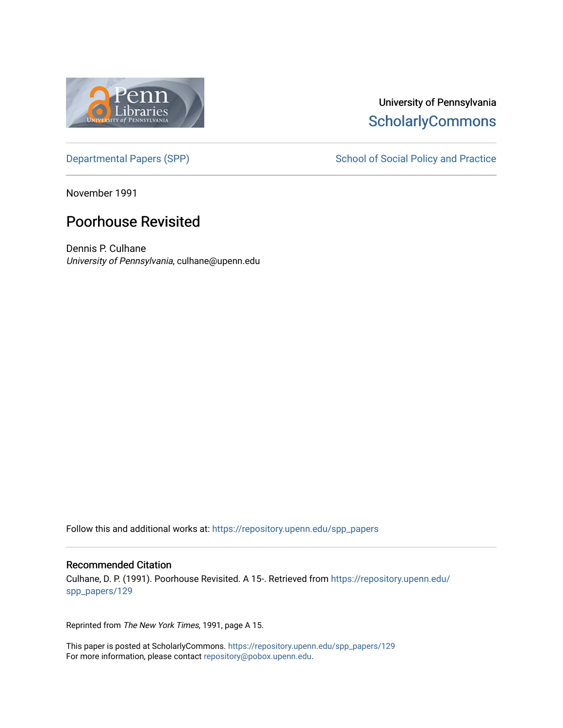

## University of Pennsylvania **ScholarlyCommons**

November 1991

## Poorhouse Revisited

Dennis P. Culhane University of Pennsylvania, culhane@upenn.edu

Follow this and additional works at: [https://repository.upenn.edu/spp\\_papers](https://repository.upenn.edu/spp_papers?utm_source=repository.upenn.edu%2Fspp_papers%2F129&utm_medium=PDF&utm_campaign=PDFCoverPages) 

#### Recommended Citation

Culhane, D. P. (1991). Poorhouse Revisited. A 15-. Retrieved from [https://repository.upenn.edu/](https://repository.upenn.edu/spp_papers/129?utm_source=repository.upenn.edu%2Fspp_papers%2F129&utm_medium=PDF&utm_campaign=PDFCoverPages) [spp\\_papers/129](https://repository.upenn.edu/spp_papers/129?utm_source=repository.upenn.edu%2Fspp_papers%2F129&utm_medium=PDF&utm_campaign=PDFCoverPages)

Reprinted from The New York Times, 1991, page A 15.

This paper is posted at ScholarlyCommons. [https://repository.upenn.edu/spp\\_papers/129](https://repository.upenn.edu/spp_papers/129)  For more information, please contact [repository@pobox.upenn.edu.](mailto:repository@pobox.upenn.edu)

[Departmental Papers \(SPP\)](https://repository.upenn.edu/spp_papers) School of Social Policy and Practice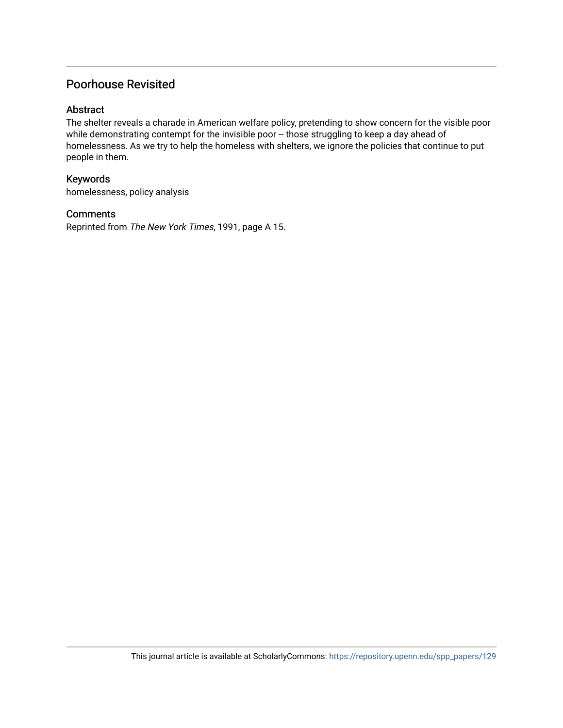### Poorhouse Revisited

#### Abstract

The shelter reveals a charade in American welfare policy, pretending to show concern for the visible poor while demonstrating contempt for the invisible poor -- those struggling to keep a day ahead of homelessness. As we try to help the homeless with shelters, we ignore the policies that continue to put people in them.

#### Keywords

homelessness, policy analysis

#### **Comments**

Reprinted from The New York Times, 1991, page A 15.